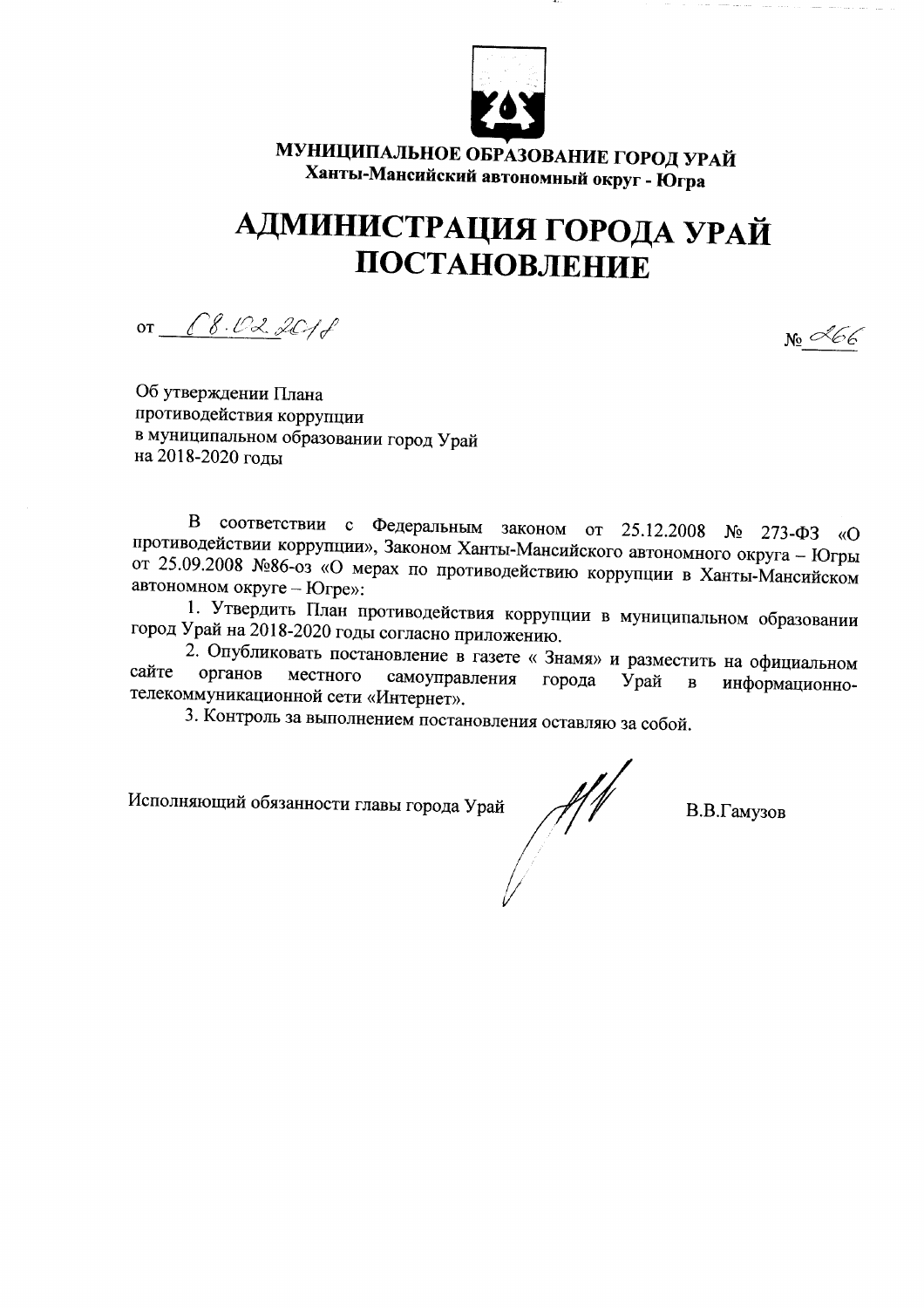

МУНИЦИПАЛЬНОЕ ОБРАЗОВАНИЕ ГОРОД УРАЙ Ханты-Мансийский автономный округ - Югра

## АДМИНИСТРАЦИЯ ГОРОДА УРАЙ ПОСТАНОВЛЕНИЕ

OT 8.02.2018

 $_{\mathrm{N_2}}$  L66

Об утверждении Плана противодействия коррупции в муниципальном образовании город Урай на 2018-2020 голы

В соответствии с Федеральным законом от 25.12.2008 № 273-ФЗ  $\langle \langle \mathbf{O} \rangle$ противодействии коррупции», Законом Ханты-Мансийского автономного округа - Югры от 25.09.2008 №86-оз «О мерах по противодействию коррупции в Ханты-Мансийском автономном округе - Югре»:

1. Утвердить План противодействия коррупции в муниципальном образовании город Урай на 2018-2020 годы согласно приложению.

2. Опубликовать постановление в газете «Знамя» и разместить на официальном сайте органов местного самоуправления города Урай  $\bf{B}$ информационнотелекоммуникационной сети «Интернет».

3. Контроль за выполнением постановления оставляю за собой.

Исполняющий обязанности главы города Урай

В.В.Гамузов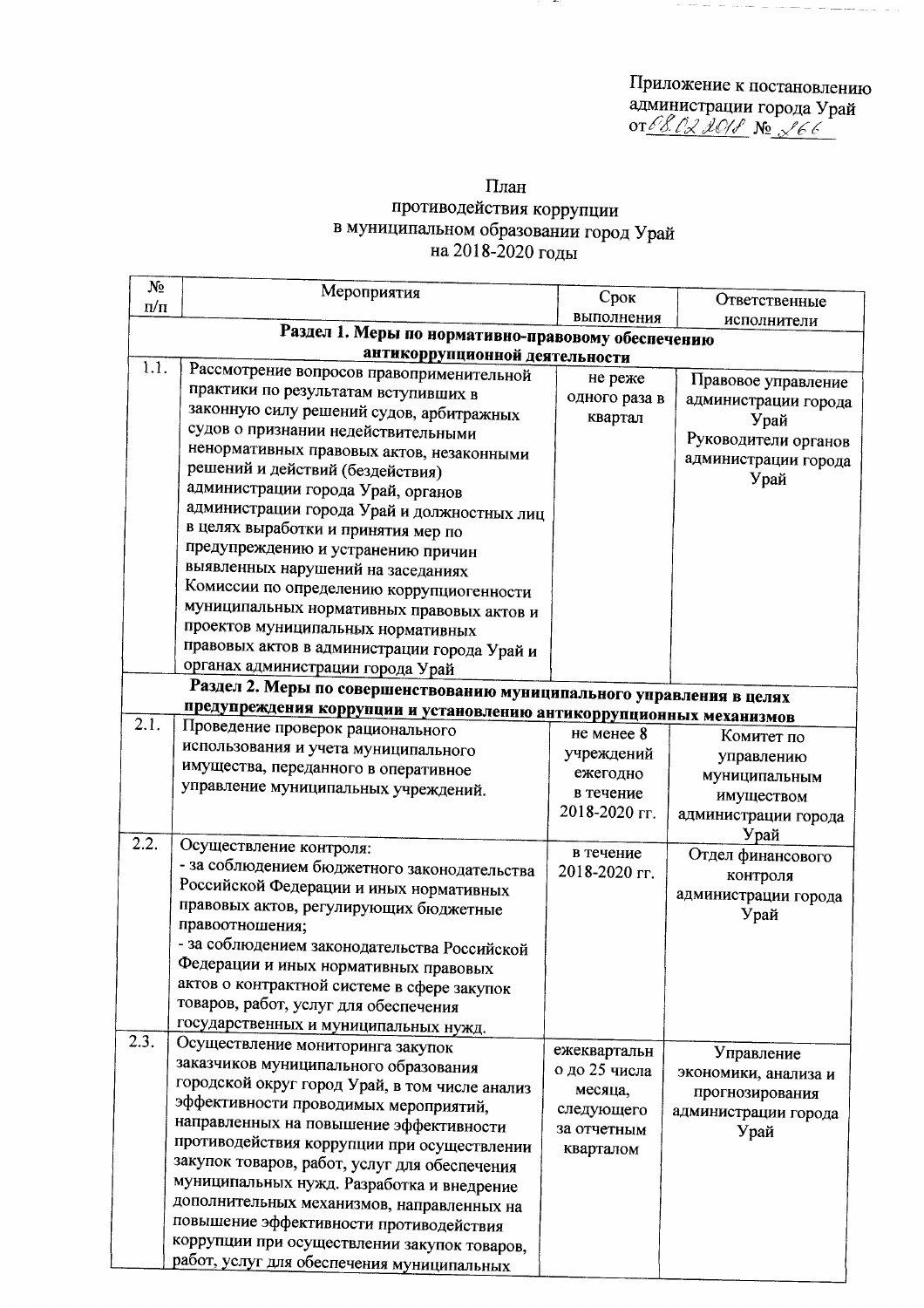Приложение к постановлению<br>администрации города Урай<br>от*€8.02 2018* № *266* 

## План противодействия коррупции<br>в муниципальном образовании город Урай<br>на 2018-2020 годы

| $N_2$             |                                                                                      |               |                      |  |  |  |  |  |
|-------------------|--------------------------------------------------------------------------------------|---------------|----------------------|--|--|--|--|--|
| $\pi/\pi$         | Мероприятия                                                                          | Срок          | Ответственные        |  |  |  |  |  |
|                   |                                                                                      | выполнения    | исполнители          |  |  |  |  |  |
|                   | Раздел 1. Меры по нормативно-правовому обеспечению<br>антикоррупционной деятельности |               |                      |  |  |  |  |  |
| 1.1.              | Рассмотрение вопросов правоприменительной                                            |               |                      |  |  |  |  |  |
|                   | практики по результатам вступивших в                                                 | не реже       | Правовое управление  |  |  |  |  |  |
|                   | законную силу решений судов, арбитражных                                             | одного раза в | администрации города |  |  |  |  |  |
|                   | судов о признании недействительными                                                  | квартал       | Урай                 |  |  |  |  |  |
|                   | ненормативных правовых актов, незаконными                                            |               | Руководители органов |  |  |  |  |  |
|                   | решений и действий (бездействия)                                                     |               | администрации города |  |  |  |  |  |
|                   | администрации города Урай, органов                                                   |               | Урай                 |  |  |  |  |  |
|                   | администрации города Урай и должностных лиц                                          |               |                      |  |  |  |  |  |
|                   | в целях выработки и принятия мер по                                                  |               |                      |  |  |  |  |  |
|                   | предупреждению и устранению причин                                                   |               |                      |  |  |  |  |  |
|                   | выявленных нарушений на заседаниях                                                   |               |                      |  |  |  |  |  |
|                   | Комиссии по определению коррупциогенности                                            |               |                      |  |  |  |  |  |
|                   | муниципальных нормативных правовых актов и                                           |               |                      |  |  |  |  |  |
|                   | проектов муниципальных нормативных                                                   |               |                      |  |  |  |  |  |
|                   | правовых актов в администрации города Урай и                                         |               |                      |  |  |  |  |  |
|                   | органах администрации города Урай                                                    |               |                      |  |  |  |  |  |
|                   | Раздел 2. Меры по совершенствованию муниципального управления в целях                |               |                      |  |  |  |  |  |
|                   | предупреждения коррупции и установлению антикоррупционных механизмов                 |               |                      |  |  |  |  |  |
| 2.1.              | Проведение проверок рационального                                                    | не менее 8    | Комитет по           |  |  |  |  |  |
|                   | использования и учета муниципального                                                 | учреждений    | управлению           |  |  |  |  |  |
|                   | имущества, переданного в оперативное                                                 | ежегодно      | муниципальным        |  |  |  |  |  |
|                   | управление муниципальных учреждений.                                                 | в течение     | имуществом           |  |  |  |  |  |
|                   |                                                                                      | 2018-2020 гг. | администрации города |  |  |  |  |  |
|                   |                                                                                      |               | Урай                 |  |  |  |  |  |
| $2.\overline{2.}$ | Осуществление контроля:                                                              | в течение     | Отдел финансового    |  |  |  |  |  |
|                   | - за соблюдением бюджетного законодательства                                         | 2018-2020 rr. | контроля             |  |  |  |  |  |
|                   | Российской Федерации и иных нормативных                                              |               | администрации города |  |  |  |  |  |
|                   | правовых актов, регулирующих бюджетные                                               |               | Урай                 |  |  |  |  |  |
|                   | правоотношения;                                                                      |               |                      |  |  |  |  |  |
|                   | - за соблюдением законодательства Российской                                         |               |                      |  |  |  |  |  |
|                   | Федерации и иных нормативных правовых                                                |               |                      |  |  |  |  |  |
|                   | актов о контрактной системе в сфере закупок<br>товаров, работ, услуг для обеспечения |               |                      |  |  |  |  |  |
|                   | государственных и муниципальных нужд.                                                |               |                      |  |  |  |  |  |
| 2.3.              | Осуществление мониторинга закупок                                                    |               |                      |  |  |  |  |  |
|                   | заказчиков муниципального образования                                                | ежеквартальн  | Управление           |  |  |  |  |  |
|                   | городской округ город Урай, в том числе анализ                                       | о до 25 числа | экономики, анализа и |  |  |  |  |  |
|                   | эффективности проводимых мероприятий,                                                | месяца,       | прогнозирования      |  |  |  |  |  |
|                   | направленных на повышение эффективности                                              | следующего    | администрации города |  |  |  |  |  |
|                   | противодействия коррупции при осуществлении                                          | за отчетным   | Урай                 |  |  |  |  |  |
|                   | закупок товаров, работ, услуг для обеспечения                                        | кварталом     |                      |  |  |  |  |  |
|                   | муниципальных нужд. Разработка и внедрение                                           |               |                      |  |  |  |  |  |
|                   | дополнительных механизмов, направленных на                                           |               |                      |  |  |  |  |  |
|                   | повышение эффективности противодействия                                              |               |                      |  |  |  |  |  |
|                   | коррупции при осуществлении закупок товаров,                                         |               |                      |  |  |  |  |  |
|                   | работ, услуг для обеспечения муниципальных                                           |               |                      |  |  |  |  |  |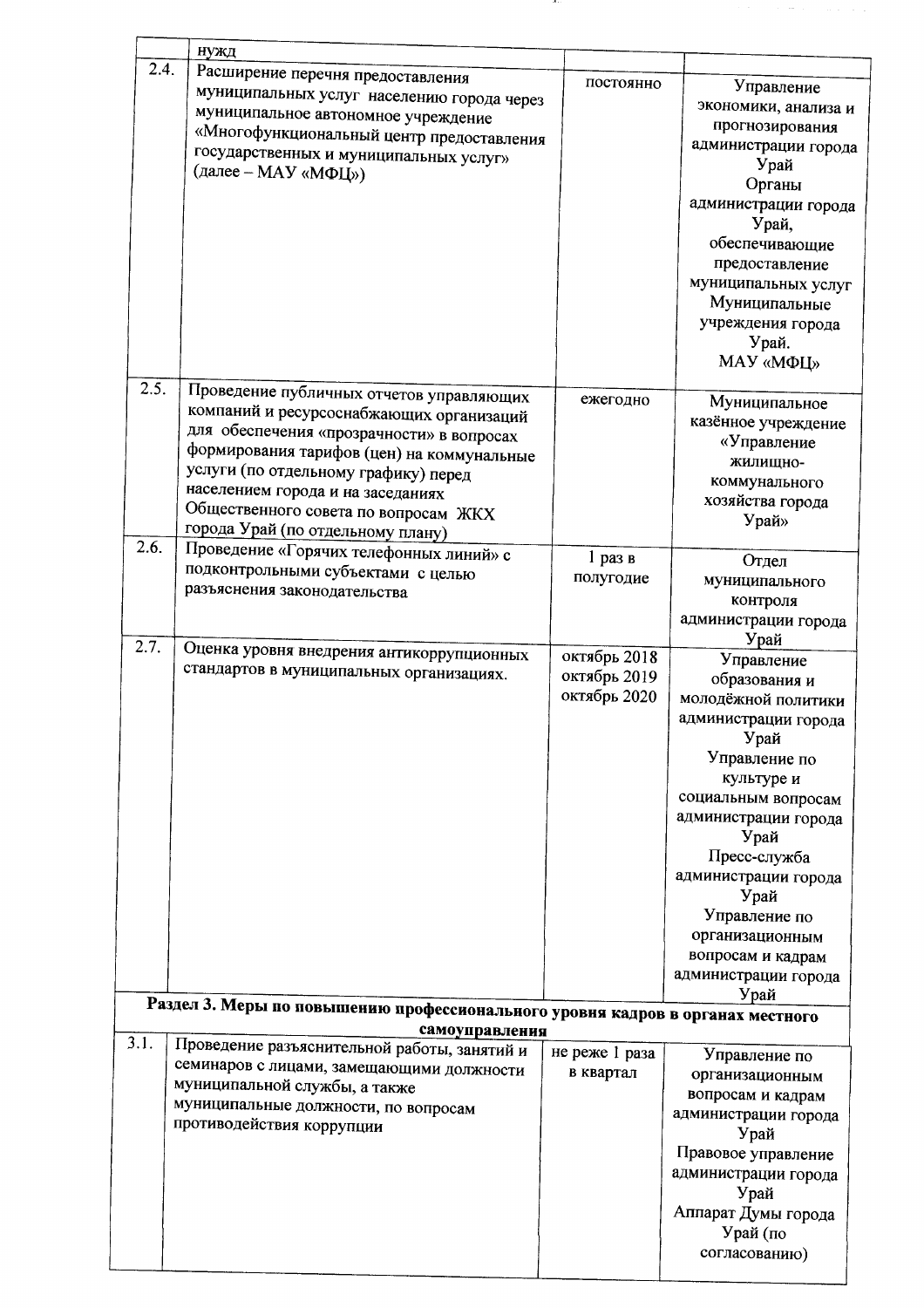|              | нужд                                                                                                                                                                                                                                                                                                                                      |                                              |                                                                                                                                                                                                                                                                                                                   |
|--------------|-------------------------------------------------------------------------------------------------------------------------------------------------------------------------------------------------------------------------------------------------------------------------------------------------------------------------------------------|----------------------------------------------|-------------------------------------------------------------------------------------------------------------------------------------------------------------------------------------------------------------------------------------------------------------------------------------------------------------------|
| 2.4.         | Расширение перечня предоставления<br>муниципальных услуг населению города через<br>муниципальное автономное учреждение<br>«Многофункциональный центр предоставления<br>государственных и муниципальных услуг»<br>(далее - МАУ «МФЦ»)                                                                                                      | постоянно                                    | Управление<br>экономики, анализа и<br>прогнозирования<br>администрации города<br>Урай<br>Органы<br>администрации города<br>Урай,<br>обеспечивающие<br>предоставление<br>муниципальных услуг<br>Муниципальные<br>учреждения города<br>Урай.<br>МАУ «МФЦ»                                                           |
| 2.5.<br>2.6. | Проведение публичных отчетов управляющих<br>компаний и ресурсоснабжающих организаций<br>для обеспечения «прозрачности» в вопросах<br>формирования тарифов (цен) на коммунальные<br>услуги (по отдельному графику) перед<br>населением города и на заседаниях<br>Общественного совета по вопросам ЖКХ<br>города Урай (по отдельному плану) | ежегодно                                     | Муниципальное<br>казённое учреждение<br>«Управление<br>жилищно-<br>коммунального<br>хозяйства города<br>Урай»                                                                                                                                                                                                     |
|              | Проведение «Горячих телефонных линий» с<br>подконтрольными субъектами с целью<br>разъяснения законодательства                                                                                                                                                                                                                             | $1$ раз в<br>полугодие                       | Отдел<br>муниципального<br>контроля<br>администрации города<br>Урай                                                                                                                                                                                                                                               |
| 2.7.         | Оценка уровня внедрения антикоррупционных<br>стандартов в муниципальных организациях.                                                                                                                                                                                                                                                     | октябрь 2018<br>октябрь 2019<br>октябрь 2020 | Управление<br>образования и<br>молодёжной политики<br>администрации города<br>Урай<br>Управление по<br>культуре и<br>социальным вопросам<br>администрации города<br>Урай<br>Пресс-служба<br>администрации города<br>Урай<br>Управление по<br>организационным<br>вопросам и кадрам<br>администрации города<br>Урай |
|              | Раздел 3. Меры по повышению профессионального уровня кадров в органах местного                                                                                                                                                                                                                                                            |                                              |                                                                                                                                                                                                                                                                                                                   |
| 3.1.         | самоуправления<br>Проведение разъяснительной работы, занятий и                                                                                                                                                                                                                                                                            |                                              |                                                                                                                                                                                                                                                                                                                   |
|              | семинаров с лицами, замещающими должности<br>муниципальной службы, а также<br>муниципальные должности, по вопросам<br>противодействия коррупции                                                                                                                                                                                           | не реже 1 раза<br>в квартал                  | Управление по<br>организационным<br>вопросам и кадрам<br>администрации города<br>Урай<br>Правовое управление<br>администрации города<br>Урай<br>Аппарат Думы города<br>Урай (по<br>согласованию)                                                                                                                  |
|              |                                                                                                                                                                                                                                                                                                                                           |                                              |                                                                                                                                                                                                                                                                                                                   |

. . .

 $\mathcal{O}(\mathcal{O}(\log n))$  and  $\mathcal{O}(\log n)$  and  $\mathcal{O}(\log n)$